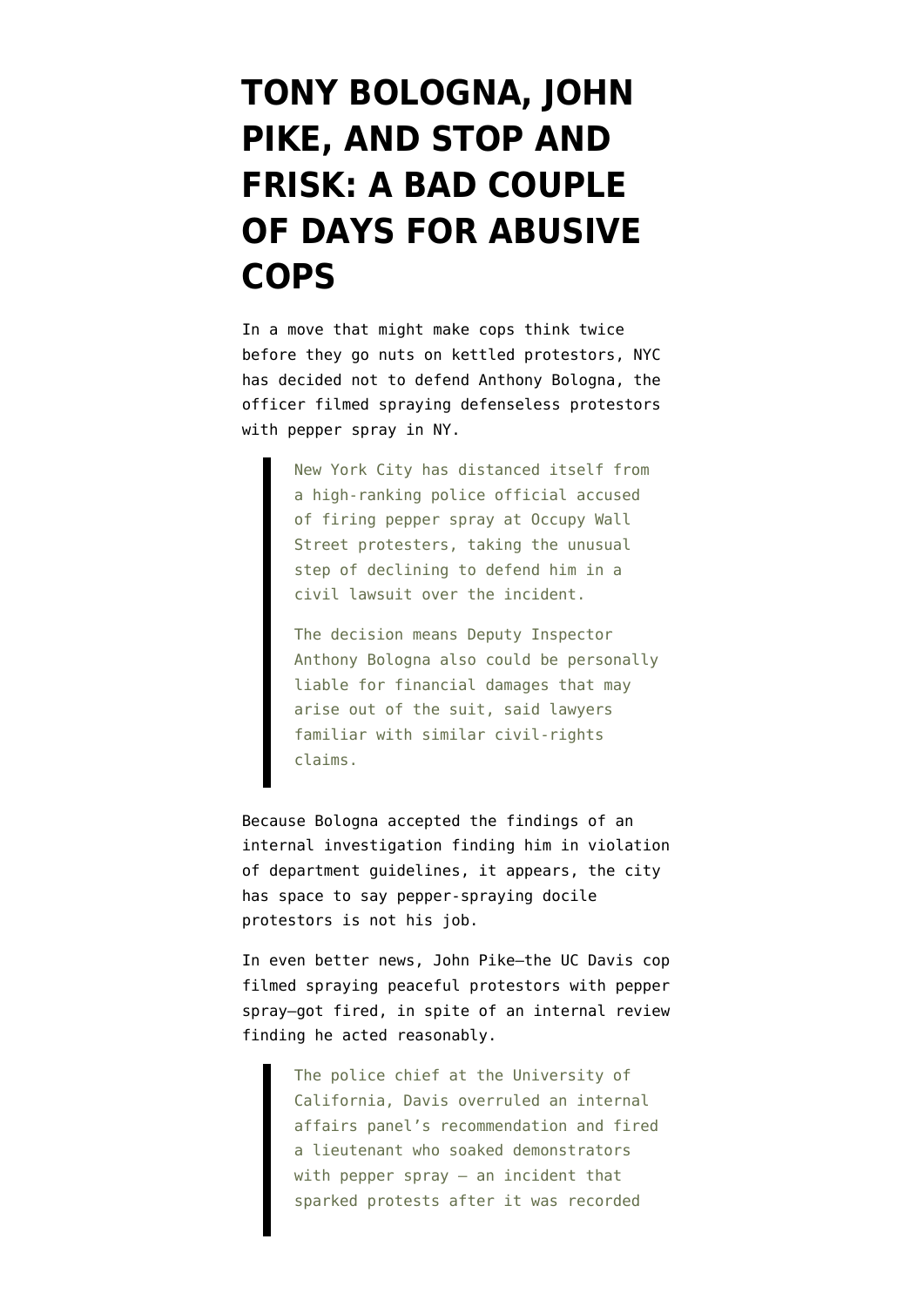## **[TONY BOLOGNA, JOHN](https://www.emptywheel.net/2012/08/03/tony-bologna-john-pike-and-stop-and-frisk-a-bad-couple-of-days-for-abusive-cops/) [PIKE, AND STOP AND](https://www.emptywheel.net/2012/08/03/tony-bologna-john-pike-and-stop-and-frisk-a-bad-couple-of-days-for-abusive-cops/) [FRISK: A BAD COUPLE](https://www.emptywheel.net/2012/08/03/tony-bologna-john-pike-and-stop-and-frisk-a-bad-couple-of-days-for-abusive-cops/) [OF DAYS FOR ABUSIVE](https://www.emptywheel.net/2012/08/03/tony-bologna-john-pike-and-stop-and-frisk-a-bad-couple-of-days-for-abusive-cops/) [COPS](https://www.emptywheel.net/2012/08/03/tony-bologna-john-pike-and-stop-and-frisk-a-bad-couple-of-days-for-abusive-cops/)**

In a move that might make cops think twice before they go nuts on kettled protestors, NYC has [decided not to defend](http://online.wsj.com/article/SB10000872396390443866404577565341948999820.html) Anthony Bologna, the officer filmed spraying defenseless protestors with pepper spray in NY.

> New York City has distanced itself from a high-ranking police official accused of firing pepper spray at Occupy Wall Street protesters, taking the unusual step of declining to defend him in a civil lawsuit over the incident.

The decision means Deputy Inspector Anthony Bologna also could be personally liable for financial damages that may arise out of the suit, said lawyers familiar with similar civil-rights claims.

Because Bologna accepted the findings of an internal investigation finding him in violation of department guidelines, it appears, the city has space to say pepper-spraying docile protestors is not his job.

In even better news, John Pike–the UC Davis cop filmed spraying peaceful protestors with pepper spray[–got fired,](http://www.mercurynews.com/top-stories/ci_21225549/uc-davis-police-chief-overrules-pepper-spray-panel) in spite of an internal review finding he acted reasonably.

> The police chief at the University of California, Davis overruled an internal affairs panel's recommendation and fired a lieutenant who soaked demonstrators with pepper spray — an incident that sparked protests after it was recorded